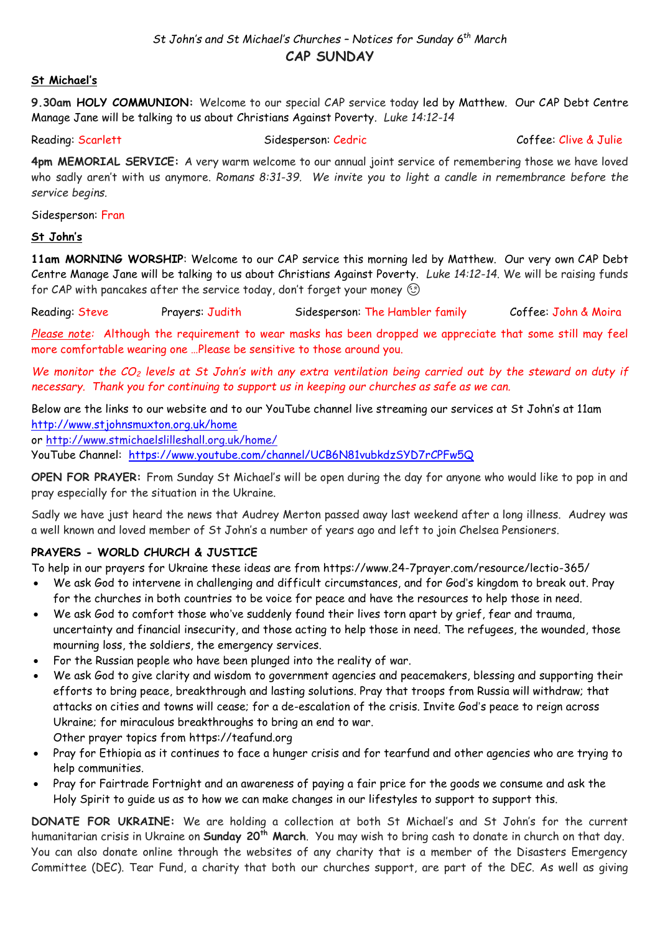## **St Michael's**

**9.30am HOLY COMMUNION:** Welcome to our special CAP service today led by Matthew. Our CAP Debt Centre Manage Jane will be talking to us about Christians Against Poverty*. Luke 14:12-14*

Reading: Scarlett Sidesperson: Cedric Coffee: Clive & Julie

**4pm MEMORIAL SERVICE:** A very warm welcome to our annual joint service of remembering those we have loved who sadly aren't with us anymore. *Romans 8:31-39. We invite you to light a candle in remembrance before the service begins.*

Sidesperson: Fran

## **St John's**

**11am MORNING WORSHIP**: Welcome to our CAP service this morning led by Matthew. Our very own CAP Debt Centre Manage Jane will be talking to us about Christians Against Poverty. *Luke 14:12-14*. We will be raising funds for CAP with pancakes after the service today, don't forget your money  $\circled$ 

Reading: Steve Prayers: Judith Sidesperson: The Hambler family Coffee: John & Moira

*Please note:* Although the requirement to wear masks has been dropped we appreciate that some still may feel more comfortable wearing one …Please be sensitive to those around you.

*We monitor the CO<sup>2</sup> levels at St John's with any extra ventilation being carried out by the steward on duty if necessary. Thank you for continuing to support us in keeping our churches as safe as we can.* 

Below are the links to our website and to our YouTube channel live streaming our services at St John's at 11am <http://www.stjohnsmuxton.org.uk/home>

or<http://www.stmichaelslilleshall.org.uk/home/>

YouTube Channel: <https://www.youtube.com/channel/UCB6N81vubkdzSYD7rCPFw5Q>

**OPEN FOR PRAYER:** From Sunday St Michael's will be open during the day for anyone who would like to pop in and pray especially for the situation in the Ukraine.

Sadly we have just heard the news that Audrey Merton passed away last weekend after a long illness. Audrey was a well known and loved member of St John's a number of years ago and left to join Chelsea Pensioners.

# **PRAYERS - WORLD CHURCH & JUSTICE**

To help in our prayers for Ukraine these ideas are from https://www.24-7prayer.com/resource/lectio-365/

- We ask God to intervene in challenging and difficult circumstances, and for God's kingdom to break out. Pray for the churches in both countries to be voice for peace and have the resources to help those in need.
- We ask God to comfort those who've suddenly found their lives torn apart by grief, fear and trauma, uncertainty and financial insecurity, and those acting to help those in need. The refugees, the wounded, those mourning loss, the soldiers, the emergency services.
- For the Russian people who have been plunged into the reality of war.
- We ask God to give clarity and wisdom to government agencies and peacemakers, blessing and supporting their efforts to bring peace, breakthrough and lasting solutions. Pray that troops from Russia will withdraw; that attacks on cities and towns will cease; for a de-escalation of the crisis. Invite God's peace to reign across Ukraine; for miraculous breakthroughs to bring an end to war. Other prayer topics from https://teafund.org
- Pray for Ethiopia as it continues to face a hunger crisis and for tearfund and other agencies who are trying to help communities.
- Pray for Fairtrade Fortnight and an awareness of paying a fair price for the goods we consume and ask the Holy Spirit to guide us as to how we can make changes in our lifestyles to support to support this.

**DONATE FOR UKRAINE:** We are holding a collection at both St Michael's and St John's for the current humanitarian crisis in Ukraine on **Sunday 20th March**. You may wish to bring cash to donate in church on that day. You can also donate online through the websites of any charity that is a member of the Disasters Emergency Committee (DEC). Tear Fund, a charity that both our churches support, are part of the DEC. As well as giving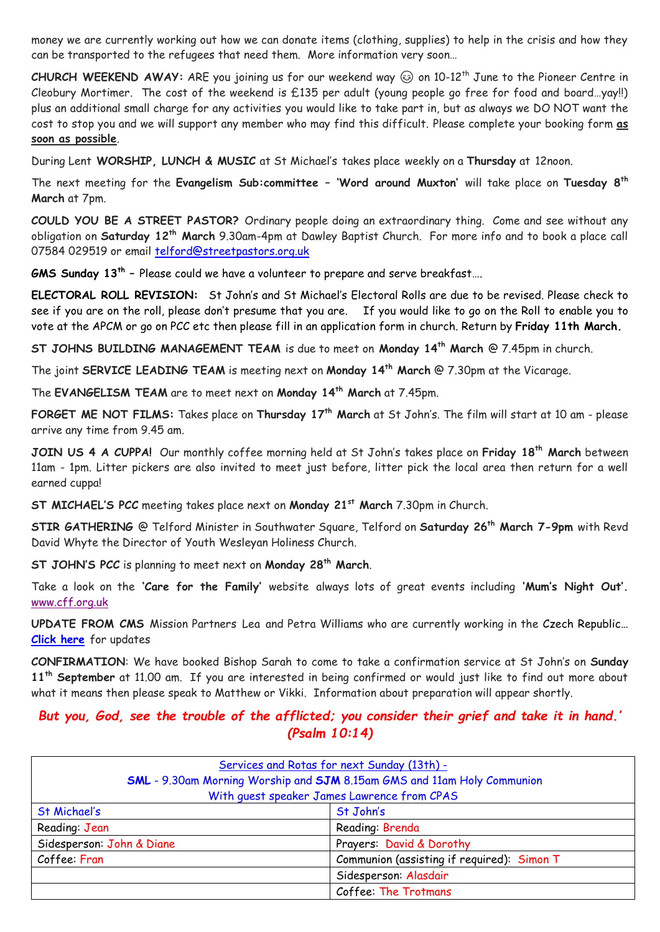money we are currently working out how we can donate items (clothing, supplies) to help in the crisis and how they can be transported to the refugees that need them. More information very soon…

**CHURCH WEEKEND AWAY:** ARE you joining us for our weekend way  $\odot$  on 10-12<sup>th</sup> June to the Pioneer Centre in Cleobury Mortimer. The cost of the weekend is £135 per adult (young people go free for food and board…yay!!) plus an additional small charge for any activities you would like to take part in, but as always we DO NOT want the cost to stop you and we will support any member who may find this difficult. Please complete your booking form **as soon as possible**.

During Lent **WORSHIP, LUNCH & MUSIC** at St Michael's takes place weekly on a **Thursday** at 12noon.

The next meeting for the **Evangelism Sub:committee – 'Word around Muxton'** will take place on **Tuesday 8th March** at 7pm.

**COULD YOU BE A STREET PASTOR?** Ordinary people doing an extraordinary thing. Come and see without any obligation on **Saturday 12th March** 9.30am-4pm at Dawley Baptist Church. For more info and to book a place call 07584 029519 or email [telford@streetpastors.org.uk](mailto:telford@streetpastors.org.uk)

**GMS Sunday 13th –** Please could we have a volunteer to prepare and serve breakfast….

**ELECTORAL ROLL REVISION:** St John's and St Michael's Electoral Rolls are due to be revised. Please check to see if you are on the roll, please don't presume that you are. If you would like to go on the Roll to enable you to vote at the APCM or go on PCC etc then please fill in an application form in church. Return by **Friday 11th March.**

**ST JOHNS BUILDING MANAGEMENT TEAM** is due to meet on **Monday 14th March** @ 7.45pm in church.

The joint **SERVICE LEADING TEAM** is meeting next on **Monday 14th March** @ 7.30pm at the Vicarage.

The **EVANGELISM TEAM** are to meet next on **Monday 14th March** at 7.45pm.

**FORGET ME NOT FILMS:** Takes place on **Thursday 17th March** at St John's. The film will start at 10 am - please arrive any time from 9.45 am.

**JOIN US 4 A CUPPA!** Our monthly coffee morning held at St John's takes place on **Friday 18th March** between 11am - 1pm. Litter pickers are also invited to meet just before, litter pick the local area then return for a well earned cuppa!

**ST MICHAEL'S PCC** meeting takes place next on **Monday 21st March** 7.30pm in Church.

**STIR GATHERING** @ Telford Minister in Southwater Square, Telford on **Saturday 26th March 7-9pm** with Revd David Whyte the Director of Youth Wesleyan Holiness Church.

**ST JOHN'S PCC** is planning to meet next on **Monday 28th March**.

Take a look on the **'Care for the Family'** website always lots of great events including **'Mum's Night Out'.**  [www.cff.org.uk](http://www.cff.org.uk/)

**UPDATE FROM CMS** Mission Partners Lea and Petra Williams who are currently working in the Czech Republic**… [Click here](https://www.facebook.com/groups/2816092355275198/permalink/3099353776949053/?sfnsn=scwspmo&ref=share)** for updates

**CONFIRMATION**: We have booked Bishop Sarah to come to take a confirmation service at St John's on **Sunday 11th September** at 11.00 am. If you are interested in being confirmed or would just like to find out more about what it means then please speak to Matthew or Vikki. Information about preparation will appear shortly.

*But you, God, see the trouble of the afflicted; you consider their grief and take it in hand.' (Psalm 10:14)*

| Services and Rotas for next Sunday (13th) -                             |                                            |
|-------------------------------------------------------------------------|--------------------------------------------|
| SML - 9.30am Morning Worship and SJM 8.15am GMS and 11am Holy Communion |                                            |
| With quest speaker James Lawrence from CPAS                             |                                            |
| St Michael's                                                            | St John's                                  |
| Reading: Jean                                                           | Reading: Brenda                            |
| Sidesperson: John & Diane                                               | Prayers: David & Dorothy                   |
| Coffee: Fran                                                            | Communion (assisting if required): Simon T |
|                                                                         | Sidesperson: Alasdair                      |
|                                                                         | Coffee: The Trotmans                       |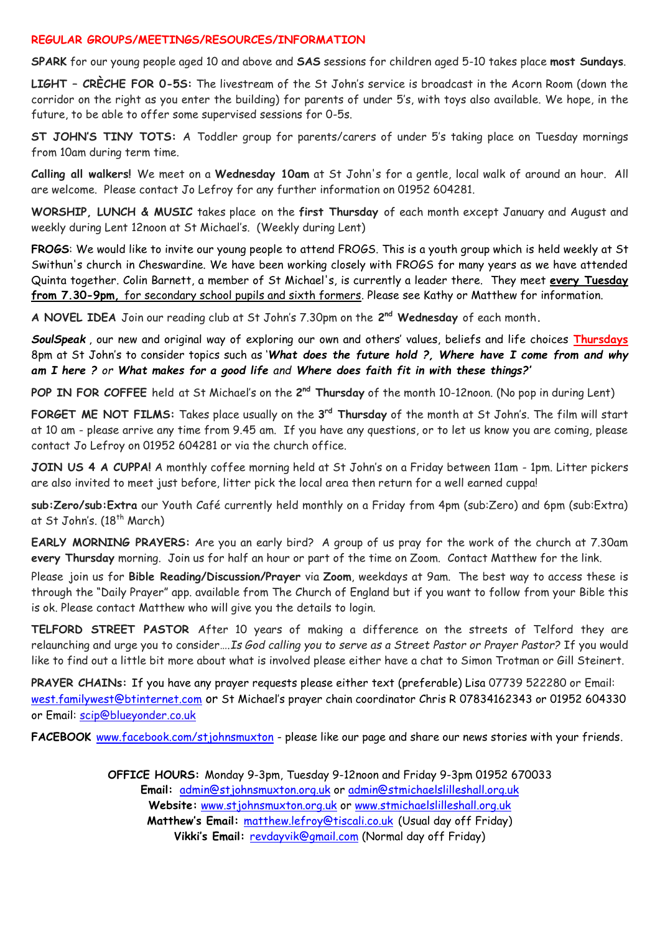#### **REGULAR GROUPS/MEETINGS/RESOURCES/INFORMATION**

**SPARK** for our young people aged 10 and above and **SAS** sessions for children aged 5-10 takes place **most Sundays**.

**LIGHT – CRÈCHE FOR 0-5S:** The livestream of the St John's service is broadcast in the Acorn Room (down the corridor on the right as you enter the building) for parents of under 5's, with toys also available. We hope, in the future, to be able to offer some supervised sessions for 0-5s.

**ST JOHN'S TINY TOTS:** A Toddler group for parents/carers of under 5's taking place on Tuesday mornings from 10am during term time.

**Calling all walkers!** We meet on a **Wednesday 10am** at St John's for a gentle, local walk of around an hour. All are welcome. Please contact Jo Lefroy for any further information on 01952 604281.

**WORSHIP, LUNCH & MUSIC** takes place on the **first Thursday** of each month except January and August and weekly during Lent 12noon at St Michael's. (Weekly during Lent)

**FROGS**: We would like to invite our young people to attend FROGS. This is a youth group which is held weekly at St Swithun's church in Cheswardine. We have been working closely with FROGS for many years as we have attended Quinta together. Colin Barnett, a member of St Michael's, is currently a leader there. They meet **every Tuesday from 7.30-9pm,** for secondary school pupils and sixth formers. Please see Kathy or Matthew for information.

**A NOVEL IDEA** Join our reading club at St John's 7.30pm on the **2 nd Wednesday** of each month**.**

*SoulSpeak* , our new and original way of exploring our own and others' values, beliefs and life choices **Thursdays**  8pm at St John's to consider topics such as '*What does the future hold ?, Where have I come from and why am I here ? or What makes for a good life and Where does faith fit in with these things?'*

POP IN FOR COFFEE held at St Michael's on the 2<sup>nd</sup> Thursday of the month 10-12noon. (No pop in during Lent)

**FORGET ME NOT FILMS:** Takes place usually on the **3 rd Thursday** of the month at St John's. The film will start at 10 am - please arrive any time from 9.45 am. If you have any questions, or to let us know you are coming, please contact Jo Lefroy on 01952 604281 or via the church office.

**JOIN US 4 A CUPPA!** A monthly coffee morning held at St John's on a Friday between 11am - 1pm. Litter pickers are also invited to meet just before, litter pick the local area then return for a well earned cuppa!

**sub:Zero/sub:Extra** our Youth Café currently held monthly on a Friday from 4pm (sub:Zero) and 6pm (sub:Extra) at St John's. (18<sup>th</sup> March)

**EARLY MORNING PRAYERS:** Are you an early bird? A group of us pray for the work of the church at 7.30am **every Thursday** morning. Join us for half an hour or part of the time on Zoom. Contact Matthew for the link.

Please join us for **Bible Reading/Discussion/Prayer** via **Zoom**, weekdays at 9am. The best way to access these is through the "Daily Prayer" app. available from The Church of England but if you want to follow from your Bible this is ok. Please contact Matthew who will give you the details to login.

**TELFORD STREET PASTOR** After 10 years of making a difference on the streets of Telford they are relaunching and urge you to consider….*Is God calling you to serve as a Street Pastor or Prayer Pastor?* If you would like to find out a little bit more about what is involved please either have a chat to Simon Trotman or Gill Steinert.

**PRAYER CHAINs:** If you have any prayer requests please either text (preferable) Lisa 07739 522280 or Email: [west.familywest@btinternet.com](mailto:west.familywest@btinternet.com) or St Michael's prayer chain coordinator Chris R 07834162343 or 01952 604330 or Email: [scip@blueyonder.co.uk](mailto:scip@blueyonder.co.uk)

**FACEBOOK** [www.facebook.com/stjohnsmuxton](http://www.facebook.com/stjohnsmuxton) - please like our page and share our news stories with your friends.

**OFFICE HOURS:** Monday 9-3pm, Tuesday 9-12noon and Friday 9-3pm 01952 670033 **Email:** admin[@stjohnsmuxton.o](http://stjohnsmuxton/)rg.uk or [admin@stmichaelslilleshall.org.uk](mailto:admin@stmichaelslilleshall.org.uk) **Website:** [www.stjohnsmuxton.org.uk](http://www.stjohnsmuxton.org.uk/) or www.stmichaelslilleshall.org.uk **Matthew's Email:** [matthew.lefroy@tiscali.co.uk](mailto:matthew.lefroy@tiscali.co.uk) (Usual day off Friday) **Vikki's Email:** [revdayvik@gmail.com](mailto:revdayvik@gmail.com) (Normal day off Friday)